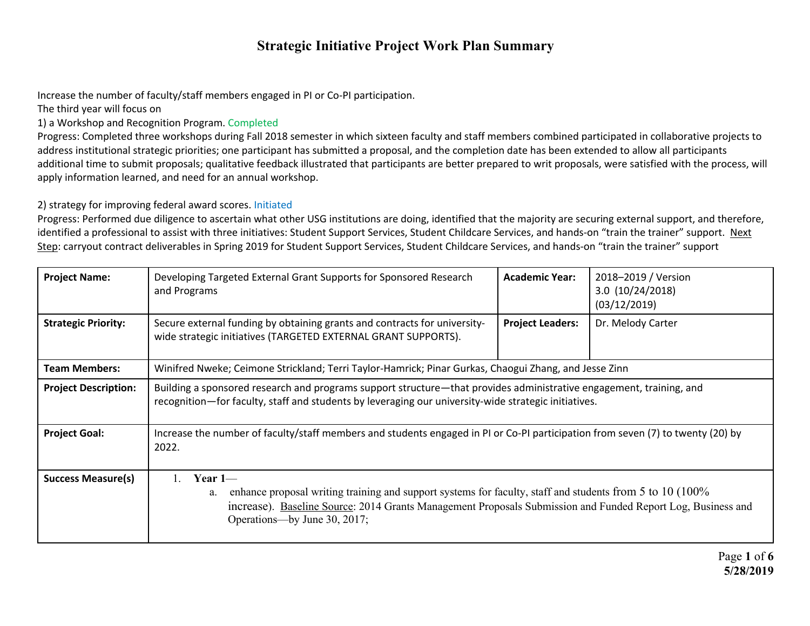Increase the number of faculty/staff members engaged in PI or Co-PI participation.

The third year will focus on

1) a Workshop and Recognition Program. Completed

Progress: Completed three workshops during Fall 2018 semester in which sixteen faculty and staff members combined participated in collaborative projects to address institutional strategic priorities; one participant has submitted a proposal, and the completion date has been extended to allow all participants additional time to submit proposals; qualitative feedback illustrated that participants are better prepared to writ proposals, were satisfied with the process, will apply information learned, and need for an annual workshop.

#### 2) strategy for improving federal award scores. Initiated

Progress: Performed due diligence to ascertain what other USG institutions are doing, identified that the majority are securing external support, and therefore, identified a professional to assist with three initiatives: Student Support Services, Student Childcare Services, and hands-on "train the trainer" support. Next Step: carryout contract deliverables in Spring 2019 for Student Support Services, Student Childcare Services, and hands-on "train the trainer" support

| <b>Project Name:</b>        | Developing Targeted External Grant Supports for Sponsored Research<br>and Programs                                                                                                                                                                                          | <b>Academic Year:</b>   | 2018-2019 / Version<br>3.0 (10/24/2018)<br>(03/12/2019) |
|-----------------------------|-----------------------------------------------------------------------------------------------------------------------------------------------------------------------------------------------------------------------------------------------------------------------------|-------------------------|---------------------------------------------------------|
| <b>Strategic Priority:</b>  | Secure external funding by obtaining grants and contracts for university-<br>wide strategic initiatives (TARGETED EXTERNAL GRANT SUPPORTS).                                                                                                                                 | <b>Project Leaders:</b> | Dr. Melody Carter                                       |
| <b>Team Members:</b>        | Winifred Nweke; Ceimone Strickland; Terri Taylor-Hamrick; Pinar Gurkas, Chaogui Zhang, and Jesse Zinn                                                                                                                                                                       |                         |                                                         |
| <b>Project Description:</b> | Building a sponsored research and programs support structure—that provides administrative engagement, training, and<br>recognition-for faculty, staff and students by leveraging our university-wide strategic initiatives.                                                 |                         |                                                         |
| <b>Project Goal:</b>        | Increase the number of faculty/staff members and students engaged in PI or Co-PI participation from seven (7) to twenty (20) by<br>2022.                                                                                                                                    |                         |                                                         |
| <b>Success Measure(s)</b>   | Year $1-$<br>enhance proposal writing training and support systems for faculty, staff and students from 5 to 10 (100%)<br>a.<br>increase). Baseline Source: 2014 Grants Management Proposals Submission and Funded Report Log, Business and<br>Operations—by June 30, 2017; |                         |                                                         |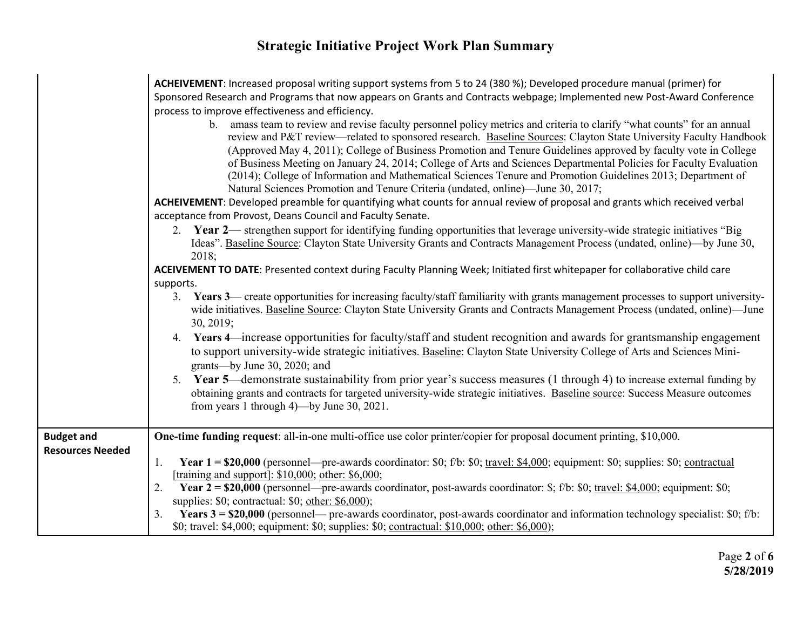|                         | ACHEIVEMENT: Increased proposal writing support systems from 5 to 24 (380 %); Developed procedure manual (primer) for<br>Sponsored Research and Programs that now appears on Grants and Contracts webpage; Implemented new Post-Award Conference<br>process to improve effectiveness and efficiency.<br>b. amass team to review and revise faculty personnel policy metrics and criteria to clarify "what counts" for an annual<br>review and P&T review—related to sponsored research. Baseline Sources: Clayton State University Faculty Handbook<br>(Approved May 4, 2011); College of Business Promotion and Tenure Guidelines approved by faculty vote in College<br>of Business Meeting on January 24, 2014; College of Arts and Sciences Departmental Policies for Faculty Evaluation<br>(2014); College of Information and Mathematical Sciences Tenure and Promotion Guidelines 2013; Department of<br>Natural Sciences Promotion and Tenure Criteria (undated, online)—June 30, 2017; |  |  |  |  |  |
|-------------------------|-------------------------------------------------------------------------------------------------------------------------------------------------------------------------------------------------------------------------------------------------------------------------------------------------------------------------------------------------------------------------------------------------------------------------------------------------------------------------------------------------------------------------------------------------------------------------------------------------------------------------------------------------------------------------------------------------------------------------------------------------------------------------------------------------------------------------------------------------------------------------------------------------------------------------------------------------------------------------------------------------|--|--|--|--|--|
|                         | ACHEIVEMENT: Developed preamble for quantifying what counts for annual review of proposal and grants which received verbal                                                                                                                                                                                                                                                                                                                                                                                                                                                                                                                                                                                                                                                                                                                                                                                                                                                                      |  |  |  |  |  |
|                         | acceptance from Provost, Deans Council and Faculty Senate.<br>2. Year 2— strengthen support for identifying funding opportunities that leverage university-wide strategic initiatives "Big<br>Ideas". Baseline Source: Clayton State University Grants and Contracts Management Process (undated, online)—by June 30,<br>2018;                                                                                                                                                                                                                                                                                                                                                                                                                                                                                                                                                                                                                                                                  |  |  |  |  |  |
|                         | ACEIVEMENT TO DATE: Presented context during Faculty Planning Week; Initiated first whitepaper for collaborative child care                                                                                                                                                                                                                                                                                                                                                                                                                                                                                                                                                                                                                                                                                                                                                                                                                                                                     |  |  |  |  |  |
|                         | supports.<br>3. Years 3— create opportunities for increasing faculty/staff familiarity with grants management processes to support university-                                                                                                                                                                                                                                                                                                                                                                                                                                                                                                                                                                                                                                                                                                                                                                                                                                                  |  |  |  |  |  |
|                         | wide initiatives. Baseline Source: Clayton State University Grants and Contracts Management Process (undated, online)—June<br>30, 2019;                                                                                                                                                                                                                                                                                                                                                                                                                                                                                                                                                                                                                                                                                                                                                                                                                                                         |  |  |  |  |  |
|                         | 4. Years 4—increase opportunities for faculty/staff and student recognition and awards for grantsmanship engagement<br>to support university-wide strategic initiatives. Baseline: Clayton State University College of Arts and Sciences Mini-<br>grants—by June 30, 2020; and                                                                                                                                                                                                                                                                                                                                                                                                                                                                                                                                                                                                                                                                                                                  |  |  |  |  |  |
|                         | 5. Year 5—demonstrate sustainability from prior year's success measures (1 through 4) to increase external funding by<br>obtaining grants and contracts for targeted university-wide strategic initiatives. Baseline source: Success Measure outcomes<br>from years 1 through $4$ )—by June 30, 2021.                                                                                                                                                                                                                                                                                                                                                                                                                                                                                                                                                                                                                                                                                           |  |  |  |  |  |
| <b>Budget and</b>       | One-time funding request: all-in-one multi-office use color printer/copier for proposal document printing, \$10,000.                                                                                                                                                                                                                                                                                                                                                                                                                                                                                                                                                                                                                                                                                                                                                                                                                                                                            |  |  |  |  |  |
| <b>Resources Needed</b> | Year $1 = $20,000$ (personnel—pre-awards coordinator: \$0; f/b: \$0; travel: \$4,000; equipment: \$0; supplies: \$0; contractual<br>1.<br>[training and support]: \$10,000; other: \$6,000;                                                                                                                                                                                                                                                                                                                                                                                                                                                                                                                                                                                                                                                                                                                                                                                                     |  |  |  |  |  |
|                         | Year $2 = $20,000$ (personnel—pre-awards coordinator, post-awards coordinator: \$; f/b: \$0; travel: \$4,000; equipment: \$0;<br>2.                                                                                                                                                                                                                                                                                                                                                                                                                                                                                                                                                                                                                                                                                                                                                                                                                                                             |  |  |  |  |  |
|                         | supplies: $$0$ ; contractual: $$0$ ; other: $$6,000$ );                                                                                                                                                                                                                                                                                                                                                                                                                                                                                                                                                                                                                                                                                                                                                                                                                                                                                                                                         |  |  |  |  |  |
|                         | Years $3 = $20,000$ (personnel— pre-awards coordinator, post-awards coordinator and information technology specialist: \$0; f/b:<br>3.<br>\$0; travel: \$4,000; equipment: \$0; supplies: \$0; contractual: \$10,000; other: \$6,000);                                                                                                                                                                                                                                                                                                                                                                                                                                                                                                                                                                                                                                                                                                                                                          |  |  |  |  |  |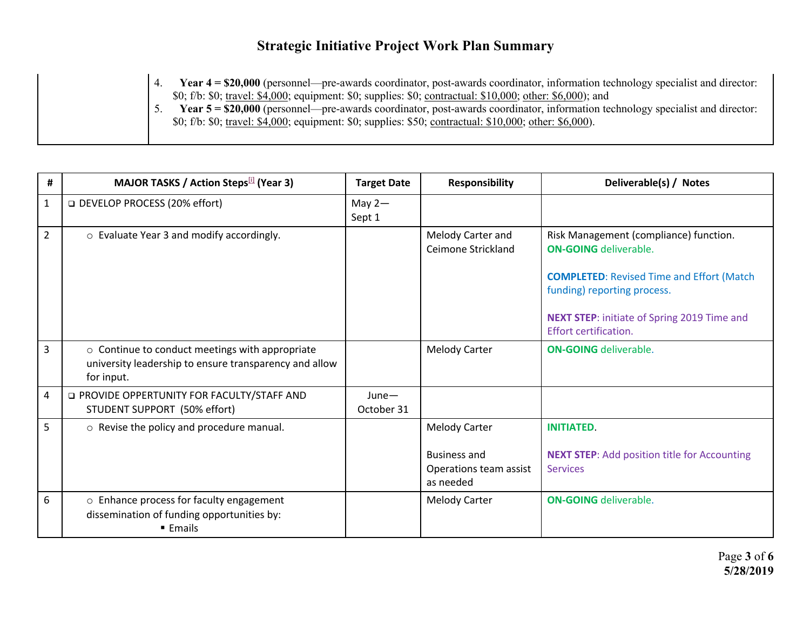4. **Year 4 = \$20,000** (personnel—pre-awards coordinator, post-awards coordinator, information technology specialist and director: \$0; f/b: \$0; travel: \$4,000; equipment: \$0; supplies: \$0; contractual: \$10,000; other: \$6,000); and 5. **Year 5 = \$20,000** (personnel—pre-awards coordinator, post-awards coordinator, information technology specialist and director: \$0; f/b: \$0; travel: \$4,000; equipment: \$0; supplies: \$50; contractual: \$10,000; other: \$6,000).

| #              | MAJOR TASKS / Action Steps <sup>[1]</sup> (Year 3)                                                                      | <b>Target Date</b>     | <b>Responsibility</b>                                                              | Deliverable(s) / Notes                                                                                                                                                                                                                   |
|----------------|-------------------------------------------------------------------------------------------------------------------------|------------------------|------------------------------------------------------------------------------------|------------------------------------------------------------------------------------------------------------------------------------------------------------------------------------------------------------------------------------------|
| $\mathbf{1}$   | □ DEVELOP PROCESS (20% effort)                                                                                          | May $2-$<br>Sept 1     |                                                                                    |                                                                                                                                                                                                                                          |
| $\overline{2}$ | o Evaluate Year 3 and modify accordingly.                                                                               |                        | Melody Carter and<br>Ceimone Strickland                                            | Risk Management (compliance) function.<br><b>ON-GOING</b> deliverable.<br><b>COMPLETED:</b> Revised Time and Effort (Match<br>funding) reporting process.<br><b>NEXT STEP:</b> initiate of Spring 2019 Time and<br>Effort certification. |
| $\mathsf{3}$   | o Continue to conduct meetings with appropriate<br>university leadership to ensure transparency and allow<br>for input. |                        | <b>Melody Carter</b>                                                               | <b>ON-GOING</b> deliverable.                                                                                                                                                                                                             |
| 4              | <b>Q PROVIDE OPPERTUNITY FOR FACULTY/STAFF AND</b><br>STUDENT SUPPORT (50% effort)                                      | $June -$<br>October 31 |                                                                                    |                                                                                                                                                                                                                                          |
| 5              | o Revise the policy and procedure manual.                                                                               |                        | <b>Melody Carter</b><br><b>Business and</b><br>Operations team assist<br>as needed | <b>INITIATED.</b><br><b>NEXT STEP:</b> Add position title for Accounting<br><b>Services</b>                                                                                                                                              |
| 6              | $\circ$ Enhance process for faculty engagement<br>dissemination of funding opportunities by:<br>■ Emails                |                        | <b>Melody Carter</b>                                                               | <b>ON-GOING</b> deliverable.                                                                                                                                                                                                             |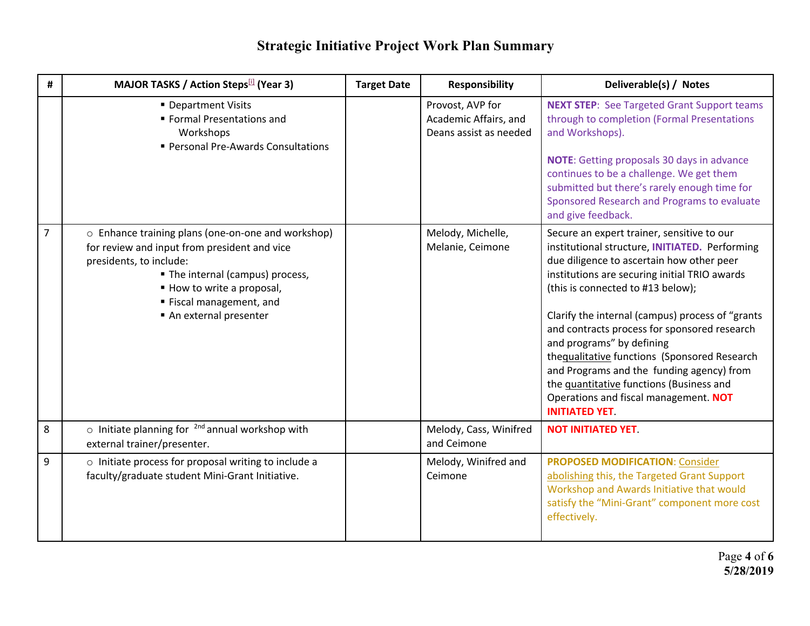| #              | MAJOR TASKS / Action Steps[1] (Year 3)                                                                                                                                                                                                               | <b>Target Date</b> | <b>Responsibility</b>                                               | Deliverable(s) / Notes                                                                                                                                                                                                                                                                                                                                                                                                                                                                                                                                                      |
|----------------|------------------------------------------------------------------------------------------------------------------------------------------------------------------------------------------------------------------------------------------------------|--------------------|---------------------------------------------------------------------|-----------------------------------------------------------------------------------------------------------------------------------------------------------------------------------------------------------------------------------------------------------------------------------------------------------------------------------------------------------------------------------------------------------------------------------------------------------------------------------------------------------------------------------------------------------------------------|
|                | • Department Visits<br>Formal Presentations and<br>Workshops<br>Personal Pre-Awards Consultations                                                                                                                                                    |                    | Provost, AVP for<br>Academic Affairs, and<br>Deans assist as needed | <b>NEXT STEP:</b> See Targeted Grant Support teams<br>through to completion (Formal Presentations<br>and Workshops).<br><b>NOTE:</b> Getting proposals 30 days in advance<br>continues to be a challenge. We get them<br>submitted but there's rarely enough time for<br>Sponsored Research and Programs to evaluate<br>and give feedback.                                                                                                                                                                                                                                  |
| $\overline{7}$ | o Enhance training plans (one-on-one and workshop)<br>for review and input from president and vice<br>presidents, to include:<br>• The internal (campus) process,<br>■ How to write a proposal,<br>■ Fiscal management, and<br>An external presenter |                    | Melody, Michelle,<br>Melanie, Ceimone                               | Secure an expert trainer, sensitive to our<br>institutional structure, INITIATED. Performing<br>due diligence to ascertain how other peer<br>institutions are securing initial TRIO awards<br>(this is connected to #13 below);<br>Clarify the internal (campus) process of "grants<br>and contracts process for sponsored research<br>and programs" by defining<br>thequalitative functions (Sponsored Research<br>and Programs and the funding agency) from<br>the quantitative functions (Business and<br>Operations and fiscal management. NOT<br><b>INITIATED YET.</b> |
| 8              | $\circ$ Initiate planning for $^{2nd}$ annual workshop with<br>external trainer/presenter.                                                                                                                                                           |                    | Melody, Cass, Winifred<br>and Ceimone                               | <b>NOT INITIATED YET.</b>                                                                                                                                                                                                                                                                                                                                                                                                                                                                                                                                                   |
| 9              | o Initiate process for proposal writing to include a<br>faculty/graduate student Mini-Grant Initiative.                                                                                                                                              |                    | Melody, Winifred and<br>Ceimone                                     | <b>PROPOSED MODIFICATION: Consider</b><br>abolishing this, the Targeted Grant Support<br>Workshop and Awards Initiative that would<br>satisfy the "Mini-Grant" component more cost<br>effectively.                                                                                                                                                                                                                                                                                                                                                                          |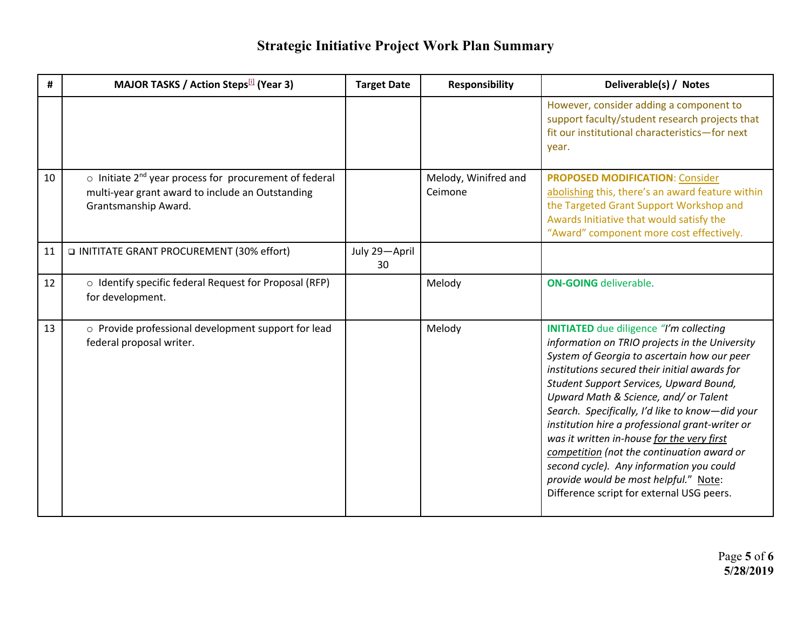| #  | <b>MAJOR TASKS / Action Steps</b> [1] (Year 3)                                                                                                       | <b>Target Date</b>  | <b>Responsibility</b>           | Deliverable(s) / Notes                                                                                                                                                                                                                                                                                                                                                                                                                                                                                                                                                                                                   |
|----|------------------------------------------------------------------------------------------------------------------------------------------------------|---------------------|---------------------------------|--------------------------------------------------------------------------------------------------------------------------------------------------------------------------------------------------------------------------------------------------------------------------------------------------------------------------------------------------------------------------------------------------------------------------------------------------------------------------------------------------------------------------------------------------------------------------------------------------------------------------|
|    |                                                                                                                                                      |                     |                                 | However, consider adding a component to<br>support faculty/student research projects that<br>fit our institutional characteristics-for next<br>year.                                                                                                                                                                                                                                                                                                                                                                                                                                                                     |
| 10 | $\circ$ Initiate 2 <sup>nd</sup> year process for procurement of federal<br>multi-year grant award to include an Outstanding<br>Grantsmanship Award. |                     | Melody, Winifred and<br>Ceimone | <b>PROPOSED MODIFICATION: Consider</b><br>abolishing this, there's an award feature within<br>the Targeted Grant Support Workshop and<br>Awards Initiative that would satisfy the<br>"Award" component more cost effectively.                                                                                                                                                                                                                                                                                                                                                                                            |
| 11 | INITITATE GRANT PROCUREMENT (30% effort)                                                                                                             | July 29-April<br>30 |                                 |                                                                                                                                                                                                                                                                                                                                                                                                                                                                                                                                                                                                                          |
| 12 | o Identify specific federal Request for Proposal (RFP)<br>for development.                                                                           |                     | Melody                          | <b>ON-GOING</b> deliverable.                                                                                                                                                                                                                                                                                                                                                                                                                                                                                                                                                                                             |
| 13 | o Provide professional development support for lead<br>federal proposal writer.                                                                      |                     | Melody                          | <b>INITIATED</b> due diligence "I'm collecting<br>information on TRIO projects in the University<br>System of Georgia to ascertain how our peer<br>institutions secured their initial awards for<br>Student Support Services, Upward Bound,<br>Upward Math & Science, and/ or Talent<br>Search. Specifically, I'd like to know-did your<br>institution hire a professional grant-writer or<br>was it written in-house for the very first<br>competition (not the continuation award or<br>second cycle). Any information you could<br>provide would be most helpful." Note:<br>Difference script for external USG peers. |